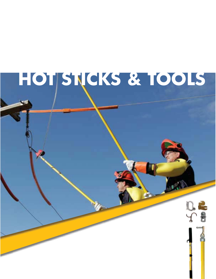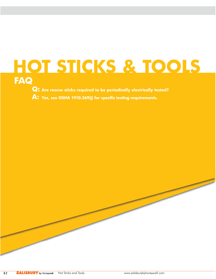# **HOT STICKS & TOOLS FAQ**

**Q: Are rescue sticks required to be periodically electrically tested?**

**A: Yes, see OSHA 1910.269(j) for specific testing requirements.**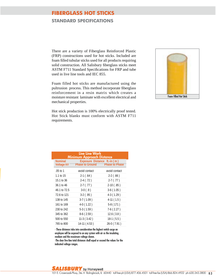# **FIBERGLASS HOT STICKS**

#### **STANDARD SPECIFICATIONS**

There are a variety of Fiberglass Reinforced Plastic (FRP) constructions used for hot sticks. Included are foam filled tubular sticks used for all products requiring solid construction. All Salisbury fiberglass sticks meet ASTM F711 Standard Specifications for FRP and tube used in live line tools and IEC 855.

Foam filled hot sticks are manufactured using the pultrusion process. This method incorporate fiberglass reinforcement in a resin matrix which creates a moisture resistant laminate with excellent electrical and mechanical properties.

Hot stick production is 100% electrically proof tested. Hot Stick blanks must conform with ASTM F711 requirements.



| Live Line Work<br><b>Minimum Approach Distance</b> |                                                        |                       |  |  |  |  |
|----------------------------------------------------|--------------------------------------------------------|-----------------------|--|--|--|--|
| <b>Nominal</b><br><b>Voltage kV</b>                | Exposure Distance ft.-in (m)<br><b>Phase to Ground</b> | <b>Phase to Phase</b> |  |  |  |  |
| $.05$ to 1                                         | avoid contact                                          | avoid contact         |  |  |  |  |
| 1.1 to $15$                                        | $2-1(.64)$                                             | $2-2(.66)$            |  |  |  |  |
| 15.1 to 36                                         | $2-4( .72)$                                            | $2-7(0.77)$           |  |  |  |  |
| 36.1 to 46                                         | $2-7( .77)$                                            | $2-10(.85)$           |  |  |  |  |
| 46.1 to 72.5                                       | $3-0(0.9)$                                             | $3-6(1.05)$           |  |  |  |  |
| 72.6 to 121                                        | $3-2$ (.95)                                            | $4-3(1.29)$           |  |  |  |  |
| 138 to 145                                         | $3-7(1.09)$                                            | $4-11(1.5)$           |  |  |  |  |
| 161 to 169                                         | $4-0(1.22)$                                            | $5-8(171)$            |  |  |  |  |
| 230 to 242                                         | $5-3(1.59)$                                            | $7-6(2.27)$           |  |  |  |  |
| 345 to 362                                         | $8-6(2.59)$                                            | 12.6(3.8)             |  |  |  |  |
| 500 to 550                                         | $11-3(3.42)$                                           | $18-1(5.5)$           |  |  |  |  |
| 765 to 800                                         | 14-11 (4.53)                                           | 26-0 (7.91)           |  |  |  |  |

- These distances take into consideration the highest switch surge an employee will be exposed to on any system with air as the insulating medium and the maximum voltage shown.

-The clear live-line total distances shall equal or exceed the values for the indicated voltage ranges.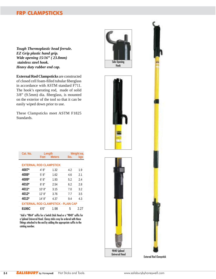# **FRP CLAMPSTICKS**

*Tough Thermoplastic head ferrule. EZ Grip plastic hand grip. Wide opening 15/16" ( 23.8mm) stainless steel hook. Heavy duty rubber end cap.*

**External Rod Clampsticks** are constructed of closed cell foam-filled tubular fiberglass in accordance with ASTM standard F711. The hook's operating rod, made of solid 3/8" (9.5mm) dia. fiberglass, is mounted on the exterior of the tool so that it can be easily wiped down prior to use.

These Clampsticks meet ASTM F1825 Standards.

| Cat. No.                       | Length     |                                            |      | Weight ea. |
|--------------------------------|------------|--------------------------------------------|------|------------|
|                                | Feet       | <b>Meters</b>                              | lbs. | kgs        |
|                                |            |                                            |      |            |
| <b>EXTERNAL ROD CLAMPSTICK</b> |            |                                            |      |            |
| 4007*                          | 4' 8''     | 1.32                                       | 4.2  | 1.9        |
| 4008*                          | 5' 8''     | 1.62                                       | 4.6  | 2.1        |
| 4009*                          | 6' 8''     | 1.93                                       | 5.2  | 2.4        |
| 4010*                          | 8' 8''     | 2.54                                       | 6.2  | 2.8        |
| 4011*                          | 10' 8''    | 3.15                                       | 7.0  | 3.2        |
| 4012*                          | $12'$ $8"$ | 3.76                                       | 7.7  | 3.5        |
| 4013*                          | 14' 8''    | 4.37                                       | 9.4  | 4.3        |
|                                |            | <b>EXTERNAL ROD CLAMPSTICK - PLAIN CAP</b> |      |            |
| 8106C                          | 6'6"       | 1.98                                       | 5    | 2.27       |

\*Add a "9864" suffix for a Switch Stick Head or a "9840" suffix for a Splined Universal Head. Clamp sticks may be ordered with these fittings attached to the end by adding the appropriate suffix to the catalog number.







9840 Splined Universal Head

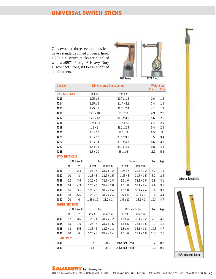# **UNIVERSAL SWITCH STICKS**

One, two, and three section hot sticks have a standard splined universal head. 1.25" dia. switch sticks are supplied with a #9971 Prong. A Heavy Duty Disconnect Prong #9969 is supplied on all others.



| Cat. No.             |                    |            |                  | Dimensions: Dia. x Length |  |                       |                 | Weight ea.<br>lbs. | kgs |
|----------------------|--------------------|------------|------------------|---------------------------|--|-----------------------|-----------------|--------------------|-----|
|                      | <b>ONE SECTION</b> |            | in x ft.         |                           |  | mm x m                |                 |                    |     |
| 4213                 |                    |            | $1.25 \times 4$  |                           |  | 31.7 x 1.2            |                 | 2.6                | 1.2 |
| 4214                 |                    |            | 1.25x6           |                           |  | 31.7 x 1.8            |                 | 3.4                | 1.5 |
| 4215                 |                    |            | $1.25 \times 8$  |                           |  | 31.7 x 2.4            |                 | 4.1                | 1.9 |
| 4216                 |                    |            | 1.25 x 10        |                           |  | 31.7 x 3              |                 |                    | 2.2 |
| 4217                 |                    |            | $1.25 \times 12$ |                           |  | 31.7 x 3.6            |                 |                    | 2.5 |
| 4218                 |                    |            | 1.25 x 14        |                           |  | 31.7 x 4.3            |                 | 5.6<br>6.4         | 2.9 |
| 4219                 |                    |            | $1.5 \times 8$   |                           |  | 38.1 x 2.4            |                 | 5.4                | 2.5 |
| 4220                 |                    |            | $1.5 \times 10$  |                           |  | 38.1 x 3              |                 | 6.5                | 3   |
| 4221                 |                    |            | $1.5 \times 12$  |                           |  | 38.1 x 3.6            |                 | 7.5                | 3.4 |
| 4222                 |                    |            | $1.5 \times 14$  |                           |  | 38.1 x 4.3            |                 | 8.6                | 3.9 |
| 4223                 |                    |            | $1.5 \times 16$  | 38.1 x 4.9                |  |                       |                 | 9.8                | 4.3 |
| 4225                 |                    |            | $1.5 \times 20$  | 38.1 x 6                  |  |                       |                 | 11.7               | 5.3 |
| <b>TWO SECTIONS</b>  |                    |            |                  |                           |  |                       |                 |                    |     |
|                      |                    | OAL Length | Top              |                           |  |                       | <b>Bottom</b>   | lbs.               | kgs |
|                      | ft.                | m          | in. x ft.        | mm x m                    |  | in. x ft.             | $mm \times m$   |                    |     |
| 4036                 | 8                  | 2.4        | 1.25x4           | 31.7 x 1.2                |  | $1.25 \times 4$       | 31.7 x 1.2      | 4.2                | 1.9 |
| 4037                 | 10                 | 3          | $1.25 \times 5$  | 31.7 x 1.5                |  | $1.25 \times 5$       | 31.7 x 1.5      | 5.2                | 2.2 |
| 4038                 | 12                 | 3.6        | 1.25x6           | 31.7 x 1.8                |  | $1.5 \times 6$        | 38.1 x 1.8      | 6.9                | 3.1 |
| 4039                 | 14                 | 4.3        | 1.25x6           | 31.7 x 1.8                |  | $1.5 \times 8$        | 38.1 x 2.4      | 7.9                | 3.1 |
| 4040                 | 16                 | 4.9        | $1.25 \times 8$  | 31.7 x 2.4                |  | $1.5 \times 8$        | 38.1 x 2.4      | 8.6                | 3.9 |
| 4041                 | 18                 | 5.5        | $1.25 \times 8$  | 31.7 x 2.4                |  | $1.5 \times 10$       | 38.1 x 3        | 9.6                | 4.4 |
| 4042                 | 20                 | 6          | 1.25 x 10        | $31.7 \times 3$           |  | $1.5 \times 10$       | 38.1 x 3        | 10.4               | 4.7 |
| <b>THREE SECTION</b> |                    |            |                  |                           |  |                       |                 |                    |     |
|                      |                    | OAL Length | Top              |                           |  |                       | Middle / Bottom | lbs.               | kgs |
|                      | ft.                | m          | in $x$ ft.       | $mm \times m$             |  | in. x ft.             | $mm \times m$   |                    |     |
| 4043                 | 12                 | 3.6        | 1.25x4           | 31.7 x 1.2                |  | $1.5 \times 4$        | 38.1 x 1.2      | 7.7                | 3.5 |
| 4044                 | 15                 | 4.6        | 1.25x5           | 31.7 x 1.5                |  | $1.5 \times 5$        | 38.1 x 1.5      | 9.1                | 4.1 |
| 4045                 | 18                 | 5.5        | 1.25x6           | $31.7 \times 1.8$         |  | $1.5 \times 6$        | 38.1 x 1.8      | 10.5               | 4.7 |
| 4046                 | 20                 | 6          | $1.25 \times 8$  | 31.7 x 2.4                |  | $1.5 \times 6$        | 38.1 x 1.8      | 16.5               | 7.5 |
| <b>HEAD ONLY</b>     |                    |            |                  |                           |  |                       |                 |                    |     |
| 9840                 |                    |            | 1.25             | 31.7                      |  | <b>Universal Head</b> |                 | 0.2                | 0.1 |

**9841 1.5** 38.1 Universal Head **0.3** 0.1



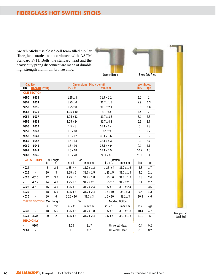# **FIBERGLASS HOT SWITCH STICKS**

**Switch Sticks** use closed cell foam filled tubular fiberglass made in accordance with ASTM Standard F711. Both the standard head and the heavy duty prong disconnect are made of durable high strength aluminum bronze alloy.



Standard Prong



Fiberglass Hot Switch Stick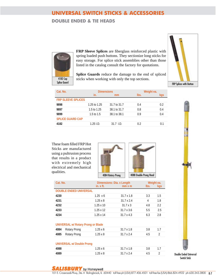# **UNIVERSAL SWITCH STICKS & ACCESSORIES**

#### **DOUBLE ENDED & TIE HEADS**



**FRP Sleeve Splices** are fiberglass reinforced plastic with spring loaded push buttons. They sectionize long sticks for easy storage. For splice stick assemblies other than those listed in the catalog consult the factory for quotations.

**Splice Guards** reduce the damage to the end of spliced sticks when working with only the top sections.



| Cat. No.                  | <b>Dimensions</b> |              | Weight ea. |     |  |
|---------------------------|-------------------|--------------|------------|-----|--|
|                           | in.               | mm           | lbs.       | kas |  |
| <b>FRP SLEEVE SPLICES</b> |                   |              |            |     |  |
| 9898                      | 1.25 to 1.25      | 31.7 to 31.7 | 0.4        | 0.2 |  |
| 9897                      | 1.5 to $1.25$     | 38.1 to 31.7 | 0.8        | 0.4 |  |
| 9899                      | 1.5 to $1.5$      | 38.1 to 38.1 | 0.9        | 0.4 |  |
| <b>SPLICE GUARD CAP</b>   |                   |              |            |     |  |
| 4182                      | $1.25$ I.D.       | $31.7$ I.D.  | 0.2        | በ 1 |  |

These foam filled FRP Hot Sticks are manufactured using a pultrusion process that results in a product with extremely high electrical and mechanical qualities.



| Cat. No. |                                           |                  | Dimensions: Dia. x Length |      | Weight ea.       |
|----------|-------------------------------------------|------------------|---------------------------|------|------------------|
|          |                                           | $in. x$ ft.      | $mm \times m$             | lbs. | kgs              |
|          | <b>DOUBLE ENDED UNIVERSAL</b>             |                  |                           |      |                  |
| 4230     |                                           | $1.25 \times 6$  | $31.7 \times 1.8$         | 3.3  | 1.5              |
| 4231     |                                           | $1.25 \times 8$  | $31.7 \times 2.4$         | 4    | 1.8              |
| 4232     |                                           | $1.25 \times 10$ | $31.7 \times 3$           | 4.8  | $2.2\phantom{0}$ |
| 4233     |                                           | $1.25 \times 12$ | $31.7 \times 3.6$         | 5.5  | 2.5              |
| 4234     |                                           | $1.25 \times 14$ | $31.7 \times 4.3$         | 6.3  | 2.8              |
|          |                                           |                  |                           |      |                  |
|          | <b>UNIVERSAL w/ Rotary Prong or Blade</b> |                  |                           |      |                  |
| 4084     | Rotary Prong                              | $1.25 \times 6$  | $31.7 \times 1.8$         | 3.8  | 1.7              |
| 4085     | Rotary Prong                              | $1.25 \times 8$  | $31.7 \times 2.4$         | 4.5  | 2                |
|          |                                           |                  |                           |      |                  |
|          | <b>UNIVERSAL w/ Double Prong</b>          |                  |                           |      |                  |
| 4088     |                                           | 1.25x6           | $31.7 \times 1.8$         | 3.8  | 1.7              |
| 4089     |                                           | $1.25 \times 8$  | $31.7 \times 2.4$         | 4.5  | $\mathfrak{D}$   |

# Switch Stick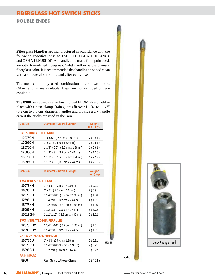# **FIBERGLASS HOT SWITCH STICKS**

**DOUBLE ENDED** 

**Fiberglass Handles** are manufactured in accordance with the following specifications: ASTM F711, OSHA 1910.269(j), and OSHA 1926.951(d). All handles are made from pultruded, smooth, foam-filled fiberglass. Safety yellow is the primary fiberglass color. It is recommended that handles be wiped clean with a silicote cloth before and after every use.

The most commonly used combinations are shown below. Other lengths are available. Bags are not included but are available.

The **8900** rain guard is a yellow molded EPDM shield held in place with a hose clamp. Rain guards fit over 1-1/4" to 1-1/2" (3.2 cm to 3.8 cm) diameter handles and provide a dry handle area if the sticks are used in the rain.

| Cat. No.                           | <b>Diameter x Overall Length</b>  | Weight<br>lbs. (kgs) |         |
|------------------------------------|-----------------------------------|----------------------|---------|
| <b>CAP &amp; THREADED FERRULE</b>  |                                   |                      |         |
| 10078CH                            | $1''$ x 6'6" (2.5 cm x 1.98 m)    | 2(0.91)              |         |
| 10096CH                            | $1''$ x 8′ (2.5 cm x 2.44 m)      | 2(0.91)              |         |
| 12578CH                            | 1 1/4" x 6'6" (3.2 cm x 1.98 m)   | 2(0.91)              |         |
| 12596CH                            | 1 1/4" x 8' (3.2 cm x 2.44 m)     | 3(1.36)              |         |
| 15078CH                            | 1 1/2" x 6'6" (3.8 cm x 1.98 m)   | 5(2.27)              |         |
| 15096CH                            | 1 1/2" x 8' (3.8 cm x 2.44 m)     | 6(2.72)              |         |
| Cat. No.                           | <b>Diameter x Overall Length</b>  | Weight<br>lbs. (kgs  |         |
| <b>TWO THREADED FERRULES</b>       |                                   |                      |         |
| 10078HH                            | $1''$ x 6'6" (2.5 cm x 1.98 m)    | 2(0.91)              |         |
| 10096HH                            | $1''$ x 8′ (2.5 cm x 2.44 m)      | 2(0.91)              |         |
| 12578HH                            | 1 1/4" x 6'6" (3.2 cm x 1.98 m)   | 3(1.36)              |         |
| 12596HH                            | 1 1/4" x 8' (3.2 cm x 2.44 m)     | 4(1.81)              |         |
| 15078HH                            | 1 1/2" x 6'6" (3.8 cm x 1.98 m)   | 3(1.36)              |         |
| 15096HH                            | 1 1/2" x 8' (3.8 cm x 2.44 m)     | 6(2.72)              |         |
| 150120HH                           | 1 1/2" x 10' (3.8 cm x 3.05 m)    | 6(2.72)              |         |
|                                    | <b>TWO INSULATED HEX FERRULES</b> |                      |         |
| 12578HHM                           | 1 1/4" x 6'6" (3.2 cm x 1.98 m)   | 4(1.81)              |         |
| 12596HHM                           | 1 1/4" x 8' (3.2 cm x 2.44 m)     | 4(1.81)              |         |
| <b>CAP &amp; UNIVERSAL FERRULE</b> |                                   |                      |         |
| 10078CU                            | 1" x 6'6" (2.5 cm x 1.98 m)       | 2(0.91)              | 12578HH |
| 12578CU                            | 1 1/4" x 6'6" (3.2 cm x 1.98 m)   | 2(0.91)              |         |
| 15096CU                            | 1 1/2" x 8' (3.8 cm x 2.44 m)     | 6(2.72)              |         |
| <b>RAIN GUARD</b>                  |                                   |                      |         |
| 8900                               | Rain Guard w/ Hose Clamp          | 0.2(0.1)             |         |



15078CH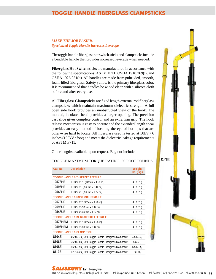# **TOGGLE HANDLE FIBERGLASS CLAMPSTICKS**

#### *MAKE THE JOB EASIER. Specialized Toggle Handle Increases Leverage.*

The toggle handle fiberglass hot switch sticks and clampsticks include a bendable handle that provides increased leverage when needed. The toggle handle fiberglass hot switch sticks and clampsticks include<br>a bendable handle that provides increased leverage when needed.<br>**Fiberglass Hot Switchsticks** are manufactured in accordance with

the following specifications: ASTM F711, OSHA 1910.269(j), and the following specifications: ASTM F711, OSHA 1910.269(j), and OSHA 1926.951(d). All handles are made from pultruded, smooth, foam-filled fiberglass. Safety yellow is the primary fiberglass color. It is recommended that handles be wiped clean with a silicote cloth before and after every use. r.<br>h<br>ss<br>ll

All **Fiberglass Clampsticks** are fixed length external rod fiberglass clampsticks which maintain maximum dielectric strength. A full open side hook provides an unobstructed view of the hook. The molded, insulated head provides a larger opening. The precision cast slide gives complete control and an extra firm grip. The hook release mechanism is easy to operate and the extended length spear provides an easy method of locating the eye of hot taps that are other-wise hard to locate. All fiberglass used is tested at 50kV / 6 inches (100kV / foot) and meets the dielectric leakage requirements s of ASTM F711. e<br>n<br>k r

Other lengths available upon request. Bag not included.

#### TOGGLE MAXIMUM TORQUE RATING: 60 FOOT POUNDS.

| Cat. No. | <b>Description</b>                                     | Weight<br>lbs. (kgs |
|----------|--------------------------------------------------------|---------------------|
|          | <b>TOGGLE HANDLE &amp; THREADED FERRULE</b>            |                     |
| 12578HE  | $11/4$ " x 6'6" (3.2 cm x 1.98 m)                      | 4(1.81)             |
| 12596HE  | $11/4$ " x 8' $(3.2 \text{ cm} \times 2.44 \text{ m})$ | 4(1.81)             |
| 12548HE  | $11/4$ " x 4' $(3.2 \text{ cm x } 1.22 \text{ m})$     | 4(1.81)             |
|          | TOGGLE HANDLE & UNIVERSAL FERRULE                      |                     |
| 12578UE  | 1 1/4" x 6'6" (3.2 cm x 1.98 m)                        | 4(1.81)             |
| 12596UE  | 1 1/4" x 8' (3.2 cm x 2.44 m)                          | 4(1.81)             |
| 12548UE  | 1 1/4" x 4' (3.2 cm x 1.22 m)                          | 4(1.81)             |
|          | <b>TOGGLE HANDLE &amp; INSULATED HEX FERRULE</b>       |                     |
| 12578HEM | $11/4$ " x 6'6" (3.2 cm x 1.98 m)                      | 4(1.81)             |
| 12596HEM | 1 1/4" x 8' (3.2 cm x 2.44 m)                          | 4(1.81)             |
|          | <b>TOGGLE HANDLE &amp; CLAMPSTICK</b>                  |                     |
| 8104E    | 4'6" (1.37m) OAL Toggle Handle Fiberglass Clampstick   | 4.5(2.04)           |
| 8106E    | 6'6" (1.98m) OAL Toggle Handle Fiberglass Clampstick   | 5(2.27)             |
| 8108E    | 8'6" (2.59m) OAL Toggle Handle Fiberglass Clampstick   | 6.5(2.95)           |
| 8110E    | 10'6" (3.2m) OAL Toggle Handle Fiberglass Clampstick   | 7(3.18)             |

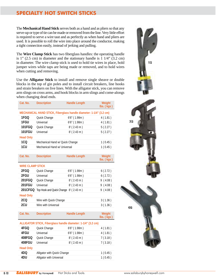# **SPECIALTY HOT SWITCH STICKS**

The **Mechanical Hand Stick** serves both as a hand and as pliers so that any serve-up or type of tie can be made or removed from the line. Very little effort is required to serve a wire taut and as perfectly as when hand and pliers are used. It is possible to roll the wire into place around the conductor, making a tight connection easily, instead of jerking and pulling.

The **Wire Clamp Stick** has two fiberglass handles: the operating handle is 1" (2.5 cm) in diameter and the stationary handle is 1 1/4" (3.2 cm) in diameter. The wire clamp stick is used to hold tie wires in place, hold jumper wires while taps are being made or removed, and to hold wires when cutting and removing.

Use the **Alligator Stick** to install and remove single sheave or double blocks in the top of gin poles and to install circuit breakers, line hooks and strain breakers on live lines. With the alligator stick, you can remove arm slings on cross arms, and hook blocks in arm slings and come-alongs when changing dead ends.

| Cat. No.                | <b>Description</b>                                                 | <b>Handle Length</b> | Weight<br>$\mathsf{Ibs}$ . $(\mathsf{kgs})$ |
|-------------------------|--------------------------------------------------------------------|----------------------|---------------------------------------------|
|                         | MECHANICAL HAND STICK, Fiberglass handle diameter: 1-1/4" (3.2 cm) |                      |                                             |
| 1FGQ                    | Quick Change                                                       | $6'6''$ (1.98m)      | 4(1.81)                                     |
| 1FGU                    | Universal                                                          | $6'6''$ (1.98m)      | 4(1.81)                                     |
| 101FGQ                  | Quick Change                                                       | $8'$ (2.43 m)        | 5(2.27)                                     |
| 101FGU                  | Universal                                                          | $8'$ (2.43 m)        | 5(2.27)                                     |
| <b>Head Only</b>        |                                                                    |                      |                                             |
| 1CQ                     | Mechanical Hand w/ Quick Change                                    |                      | 1(0.45)                                     |
| 1CU                     | Mechanical Hand w/ Universal                                       |                      | 1(0.45)                                     |
|                         |                                                                    |                      |                                             |
| Cat. No.                | <b>Description</b>                                                 | <b>Handle Length</b> | Weight<br>lbs. (Kgs)                        |
| <b>WIRE CLAMP STICK</b> |                                                                    |                      |                                             |
| 2FGQ                    | Quick Change                                                       | $6'6''$ (1.98m)      | 6(2.72)                                     |
| 2FGU                    | Universal                                                          | $6'6''$ (1.98m)      | 6(2.72)                                     |
| 201FGQ                  | Quick Change                                                       | $8'$ (2.43 m)        | 9(4.08)                                     |
| 201FGU                  | Universal                                                          | $8'$ (2.43 m)        | 9(4.08)                                     |
| 201CFGQ                 | Top Hook and Quick Change 8' (2.43 m)                              |                      | 9(4.08)                                     |
| <b>Head Only</b>        |                                                                    |                      |                                             |
| 2CQ                     | Wire with Quick Change                                             |                      | 3(1.36)                                     |
| 2CU                     | Wire with Universal                                                |                      | 3(1.36)                                     |
|                         |                                                                    |                      |                                             |
| Cat. No.                | <b>Description</b>                                                 | <b>Handle Length</b> | Weight<br>lbs. (kgs)                        |
|                         | ALLIGATOR STICK, Fiberglass handle diameter: 1-1/4" (3.2 cm)       |                      |                                             |
| 4FGQ                    | Quick Change                                                       | $6'6''$ (1.98m)      | 4(1.81)                                     |
| 4FGU                    | Universal                                                          | $6'6''$ (1.98m)      | 4(1.81)                                     |
| 408FGQ                  | Quick Change                                                       | $8'$ (2.43 m)        | 7(3.18)                                     |
| 408FGU                  | Universal                                                          | $8'$ (2.43 m)        | 7(3.18)                                     |
| <b>Head Only</b>        |                                                                    |                      |                                             |
| 4DQ                     | Alligator with Quick Change                                        |                      | 1(0.45)                                     |
| 4DU                     | Alligator with Universal                                           |                      | 1(0.45)                                     |

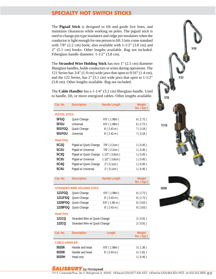# **SPECIALTY HOT SWITCH STICKS**

The **Pigtail Stick** is designed to lift and guide live lines, and maintains clearances while working on poles. The pigtail stick is used to change pin type insulators and ridge pin insulators when the conductor is light enough for one person to lift. Units come standard with  $7/8$ " (2.2 cm) hook; also available with  $1-1/2$ " (3.8 cm) and 2" (5.1 cm) hooks. Other lengths available. Bag not included. Fiberglass handle diameter: 1-1/2" (3.8 cm).

The **Stranded Wire Holding Stick** has two 1" (2.5 cm) diameter fiberglass handles, holds conductors or wires during operations. The 121 Series has 3/4" (1.9 cm) wide jaws that open to 9/16" (1.4 cm), and the 122 Series, has  $2$ " (5.1 cm) wide jaws that open to  $1-1/2$ " (3.8 cm). Other lengths available. Bag not included.

The **Cable Handler** has a 1-1/4" (3.2 cm) fiberglass handle. Used to handle, lift, or move energized cables. Other lengths available.

| Cat. No.             | <b>Description</b>                 | <b>Handle Length</b> | Weight<br>lbs. (kgs)            |
|----------------------|------------------------------------|----------------------|---------------------------------|
| <b>PIGTAIL STICK</b> |                                    |                      |                                 |
| 5FGQ                 | Quick Change                       | $6'6''$ (1.98m)      | 6(2.72)                         |
| 5FGU                 | Universal                          | $6'6''$ (1.98m)      | 6(2.72)                         |
| 501FGQ               | Quick Change                       | $8'$ (2.43 m)        | 7(3.18)                         |
| 501FGU               | Universal                          | $8'$ (2.43 m)        | 7(3.18)                         |
| <b>Head Only</b>     |                                    |                      |                                 |
| 5C <sub>2</sub> Q    | Pigtail w/ Quick Change            | 7/8" (2.2cm)         | 1(0.45)                         |
| 5C <sub>2</sub> U    | Pigtail w/ Universal               | 7/8" (2.2cm)         | 1(0.45)                         |
| 5C3Q                 | Pigtail w/ Quick Change            | $11/2$ " (3.8cm)     | 1(0.45)                         |
| 5C3U                 | Pigtail w/ Universal               | 1 1/2" (3.8cm)       | 1(0.45)                         |
| 5C4Q                 | Pigtail w/ Quick Change            | $2''$ (5.1cm)        | 1(0.45)                         |
| 5C4U                 | Pigtail w/ Universal               | $2''$ (5.1cm)        | 1(0.45)                         |
|                      |                                    |                      |                                 |
| Cat. No.             | <b>Description</b>                 | <b>Handle Length</b> | Weight<br>$\mathsf{lbs.}$ (kgs) |
|                      | <b>STRANDED WIRE HOLDING STICK</b> |                      |                                 |
| 101200               | $\sim$ $\sim$ $\sim$               | 1.1.1.1.00           | 1.0721                          |



**5020H** Head only 1 ( 0.45 )





#### **SALISBURY** by Honeywell

101 E. Crossroads Pkwy., Ste. A Bolingbrook, IL 60440 toll free ph (USA):877.406.4501 toll free fax (USA):866.824.4922 ph:630.343.3800 K-11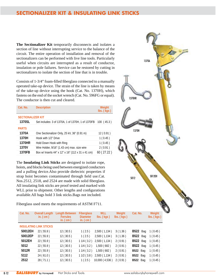# **SECTIONALIZER KIT & INSULATING LINK STICKS**

**The Sectionalizer Kit** temporarily disconnects and isolates a section of line without interrupting service to the balance of the circuit. The entire operation of installation and removal of the sectionalizers can be performed with live line tools. Particularly useful when circuits are interrupted as a result of conductor, insulation or pole failures. Service can be restored by cutting in sectionalizers to isolate the section of line that is in trouble.

Consists of 1-3/4" foam-filled fiberglass connected to a manually operated take-up device. The strain of the line is taken by means of the take-up device using the hook (Cat. No. 1370H), which fastens on the end of the socket wrench (Cat. No. 596FG or equal). The conductor is then cut and cleared.

| Cat. No.                 | <b>Description</b>                                | Weight<br>lbs. (kgs) |
|--------------------------|---------------------------------------------------|----------------------|
| <b>SECTIONALIZER KIT</b> |                                                   |                      |
| 1370SL                   | Set includes: 3 of 1370A, 1 of 1370H, 1 of 1370FB | 100(45.3)            |
| <b>PARTS</b>             |                                                   |                      |
| 1370A                    | One Sectionalizer Only, 25 kV, 36" (0.91 m)       | 12(0.91)             |
| 1370H                    | Hook with 1/2" Drive                              | 1(0.45)              |
| 1370HR                   | Hold Down Hook with Ring                          | 1(0.45)              |
| 1370V                    | Wire Holder, 9/16" (1.43 cm) max. size wire       | 2(0.91)              |
| 1370FB                   | Box w/ Inserts 44" x 12" x 16" (112 x 31 x 41 cm) | 60 (27.22)           |

The **Insulating Link Sticks** are designed to isolate rope, hoists, and blocks being used between energized conductors and a pulling device.Also provide dielectric properties if strap hoist becomes contaminated through field use.Cat. Nos.2512, 2518, and 2524 are made with solid fiberglass. All insulating link sticks are proof tested and marked with WLL prior to shipment. Other lengths and configurations available.All bags hold 3 link sticks.Bags not included.

Fiberglass used meets the requirements of ASTM F711.



|         | in. $(cm)$                    | <b>Ferrules</b><br>in. $(cm)$ | <b>Diameter</b><br>in. $(cm)$ | $\mathsf{lbs.}$ ( $\mathsf{kgs}$ ) | $\mathsf{lbs.}$ (kgs) |                 | lbs. (kgs) |
|---------|-------------------------------|-------------------------------|-------------------------------|------------------------------------|-----------------------|-----------------|------------|
|         | <b>INSULATING LINK STICKS</b> |                               |                               |                                    |                       |                 |            |
| 50012EH | 22(55.9)                      | 12(30.5)                      | 1(2.5)                        | 2,500 (1,134)                      | 3(1.36)               | <b>B522</b> Bag | 1(0.45)    |
| 50012EP | 22(55.9)                      | 12(30.5)                      | 1(2.5)                        | 2,500 (1,134)                      | 3(1.36)               | <b>B522</b> Bag | 1(0.45)    |
| 5012EH  | 22(55.9)                      | 12(30.5)                      |                               | 1 1/4 (3.2) 2,500 (1,134)          | 2(0.91)               | B522 Bag        | 1(0.45)    |
| 5012    | 22(55.9)                      | 12(30.5)                      | 11/4(3.2)                     | 1,500(682)                         | 2(0.91)               | <b>B522</b> Bag | 1(0.45)    |
| 5012R   | 22(55.9)                      | 12(30.5)                      | 11/4(3.2)                     | 1,500(682)                         | 2(0.91)               | B522 Bag        | 1(0.45)    |
| 5112    | 24(61.0)                      | 12(30.5)                      |                               | $11/2(3.8)$ 2,500 (1,134)          | 2(0.91)               | B522 Bag        | 1(0.45)    |
| 2512    | 28 (71.1)                     | 12(30.5)                      | 1(2.5)                        | 10,000(4,536)                      | 2(0.91)               | B522 Bag        | 1(0.45)    |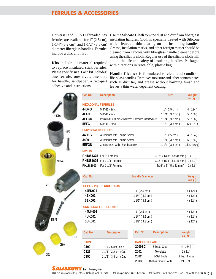#### **FERRULES & ACCESSORIES**

ferrules are available for 1" (2.5 cm), 1-1/4" (3.2 cm), and 1-1/2" (3.8 cm) diameter fiberglass handles. Ferrules include a disc and rivet.

**Kits** include all material required to replace insulated stick ferrules. Please specify size. Each kit includes: one ferrule, one rivet, one disc for handle, sandpaper, a two-part adhesive and instructions.

Universal and 5/8"-11 threaded hex Use the **Silicote Cloth** to wipe dust and dirt from fiberglass insulating handles. Cloth is specially treated with Silicone which leaves a thin coating on the insulating handles. Grease, insulation marks, and other foreign matter should be cleaned from handles with fiberglass handle cleaner before using the silicote cloth. Regular use of the silicote cloth will add to the life and safety of insulating handles. Packaged with directions in resealable, plastic bag.

> **Handle Cleaner** is formulated to clean and condition fiberglass handles. Removes moisture and other contaminates such as dirt, tar, and grease without harming finish and leaves a thin water-repellent coating.

|       | Cat. No.                  | <b>Description</b>                                     |                        | <b>Size</b>                                    | Weight<br>oz(q) |
|-------|---------------------------|--------------------------------------------------------|------------------------|------------------------------------------------|-----------------|
|       | <b>HEXAGONAL FERRULES</b> |                                                        |                        |                                                |                 |
|       | 44DFG                     | $5/8$ "-11 - Zinc                                      |                        | 1" (2.5 cm)                                    | 4(124)          |
| 44DFG | 4EFG                      | $5/8$ "-11 - Zinc                                      |                        | $11/4$ " (3.2 cm)                              | 5(156)          |
|       | 4EFGM                     | Insulated Hex Ferrule w/ Brass Threaded Insert 5/8"-11 |                        | $11/4$ " (3.2 cm)                              | 5(156)          |
|       | 5EFG                      | $5/8$ "-11 - Zinc                                      |                        | $11/2$ " (3.8 cm)                              | 12 (373)        |
| 4EFG  | <b>UNIVERSAL FERRULES</b> |                                                        |                        |                                                |                 |
|       | 44UFG                     | Aluminum with Thumb Screw                              |                        | 1" (2.5 cm)                                    | 4(124)          |
|       | 3400                      | Aluminum with Thumb Screw                              |                        | $11/4$ " (3.2 cm)                              | 5(156)          |
|       | 5EFGU                     | Zinc/Bronze with Thumb Screw                           |                        | $11/2$ " (3.8 cm)                              | 1 lbs. (450 g)  |
|       | <b>RIVETS</b>             |                                                        |                        |                                                |                 |
|       |                           | RH1881375 For 1" Ferrules                              |                        | $3/16$ " x $13/8$ " ( $5 \times 34$ mm) 1 (31) |                 |
| 4EFGM |                           | RH1881625 For 1-1/4" Ferrules                          |                        | $3/16$ " x $15/8$ " ( $5 \times 41$ mm) 1 (31) |                 |
|       | RH1882000                 | For 1-1/2" Ferrules                                    |                        | $3/16$ " x 2" ( $5 \times 51$ mm)              | 2(62)           |
|       |                           |                                                        |                        |                                                |                 |
|       | Cat. No.                  |                                                        | <b>Handle Diameter</b> |                                                | Weight          |
|       |                           |                                                        |                        |                                                | oz(g)           |
| 5EFG  |                           | <b>HEXAGONAL FERRULE KITS</b>                          |                        |                                                |                 |
|       | 44EK001                   |                                                        | 1" (2.5 cm)            |                                                | 4(124)          |
|       | 4EK001                    |                                                        | $11/4$ " (3.2 cm)      |                                                | 4(124)          |
|       | 5EK001                    |                                                        | 1 1/2" (3.8 cm)        |                                                | 4(124)          |
|       |                           | <b>UNIVERSAL FERRULE KITS</b>                          |                        |                                                |                 |
|       | 44UK001                   |                                                        | 1" (2.5 cm)            |                                                | 4(124)          |
|       | 4UK001                    |                                                        | 1 1/4" (3.2 cm)        |                                                | 4(124)          |
| 44UFG | 5UK001                    |                                                        | 1 1/2" (3.8 cm)        |                                                | 4(124)          |
|       |                           |                                                        |                        |                                                |                 |
| (150) | Cat. No.                  | <b>Description</b>                                     | Cat. No.               | <b>Description</b>                             | Weight<br>oz(g) |
|       | <b>CAPS</b>               |                                                        | <b>HANDLE CLEANERS</b> |                                                |                 |
| C100  | C100                      | 1" (2.5 cm) Cap                                        | 2000SC                 | Silicote Cloth                                 | 4(124)          |
|       | C125                      | 1 1/4" (3.2 cm) Cap                                    | 2001                   | Towelette                                      | 1(31)           |
| (125) | C150                      | 1-1/2" (3.8 cm) Cap                                    | 2002                   | 1-Gal Bottle                                   | 9 lbs. (4 kgs)  |

#### **SALISBURY** by Honeywell

**2003** 16 fl oz Spray Bottle 19 ( .53 )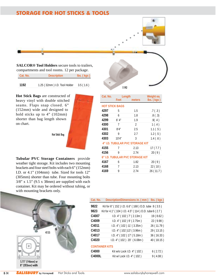# **STORAGE FOR HOT STICKS & TOOLS**



| Cat. No. | <b>Description</b>           | $\mathsf{lbs.}(\mathsf{kgs})$ |
|----------|------------------------------|-------------------------------|
|          |                              |                               |
| 1192     | 1.25 (32mm) I.D. Tool Holder | 3.5(1.6)                      |

**Hot Stick Bags** are constructed of heavy vinyl with double stitched seams. Flaps snap closed. 6" (152mm) wide and designed to hold sticks up to 4" (102mm) shorter than bag length shown on chart.

Hot Stick Bag

**Tubular PVC Storage Containers** provide weather tight storage. Kit includes two mounting brackets and four steel bolts with each 6" (152mm) I.D. or 4.1" (104mm) tube. Sized for tools 12" (305mm) shorter than tube. Four mounting bolts  $3/8$ " x 1.5" (9.5 x 38mm) are supplied with each container. Kit may be ordered without tubing, or with mounting brackets only.





| Cat. No.                        |        | Length                          | Weight ea.                                       |
|---------------------------------|--------|---------------------------------|--------------------------------------------------|
|                                 | Feet   | meters                          | $\overline{\text{lbs}}$ . $\overline{\text{kg}}$ |
| <b>HOT STICK BAGS</b>           |        |                                 |                                                  |
| 4297                            | 5      | 1.5                             | .7(.3)                                           |
| 4298                            | 6      | 1.8                             | .8(.3)                                           |
| 4299                            | 6' 4'' | 1.9                             | .9( .4)                                          |
| 4300                            | 7      | 2                               | 1(.4)                                            |
| 4301                            | 8'4''  | 2.5                             | 1.1(.5)                                          |
| 4302                            | 9      | 2.7                             | 1.2(.5)                                          |
| 4303                            | 10'4'' | 3                               | 1.4(.6)                                          |
|                                 |        | 4" I.D. TUBULAR PVC STORAGE KIT |                                                  |
| 4155                            | 7      | 2.13                            | 17(7.7)                                          |
| 4156                            | 9      | 2.74                            | 20(9)                                            |
| 6" I.D. TUBULAR PVC STORAGE KIT |        |                                 |                                                  |
| 4167                            | 6      | 1.82                            | 20(9)                                            |
| 4168                            | 7      | 2.13                            | 22 (10)                                          |
| 4169                            | 9      | 2.74                            | 26 (11.7)                                        |
|                                 |        |                                 |                                                  |
|                                 |        |                                 |                                                  |

| Cat. No. | Description/Dimensions in. (mm)                      | $\mathsf{lbs.}(\mathsf{kgs})$ |
|----------|------------------------------------------------------|-------------------------------|
| 9822     | Kit for 6" (152) I.D. 6.6" (168) O.D. tube 8 (3.5)   |                               |
| 9823     | Kit for 4.1" (104) I.D. 4.5" (114) O.D. tube 6 (2.7) |                               |
| C4007    | I.D. 4" (102) 7' (2.13m)                             | 19 (8.62)                     |
| C4009    | I.D. $4''(102)$ 9' (2.75m)                           | 22 (9.98)                     |
| C4011    | I.D. 4" (102) 11' (3.35m)                            | 26 (11.79)                    |
| C4013    | I.D. 4" (102)13' (3.96m)                             | 29 (13.15)                    |
| C4017    | I.D. 4" (102) 17' (5.18m)                            | 36 (16.33)                    |
| C4020    | I.D. 4" (102) 20' (6.08m)                            | 40 (18.15)                    |
|          | <b>CONTAINER KITS</b>                                |                               |
| C4000    | Kit w/o Lock I.D. 4" (102)                           | 6(2.72)                       |
| C4000L   | Kit w/ Lock I.D. 4" (102)                            | 9(4.08)                       |

#### K-14 **SALISBURY** by Honeywell Hot Sticks and Tools. We www.salisburybyhoneywell.com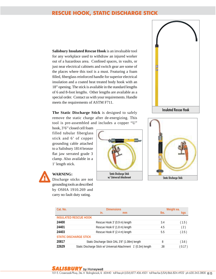#### **RESCUE HOOK, STATIC DISCHARGE STICK**

**Salisbury Insulated Rescue Hook** is an invaluable tool for any workplace used to withdraw an injured worker out of a hazardous area. Confined spaces, in vaults, or just near electrical cabinets and switch gear are some of the places where this tool is a must. Featuring a foam filled, fiberglass reinforced handle for superior electrical insulation and a coated heat treated body hook with an 18" opening. The stick is available in the standard lengths of 6 and 8-foot lengths. Other lengths are available as a special order. Contact us with your requirements. Handle meets the requirements of ASTM F711.

**The Static Discharge Stick** is designed to safely remove the static charge after de-energizing. This tool is pre-assembled and includes a copper "U"

hook, 3'6'' closed cell foam filled tubular fiberglass stick and 6' of copper grounding cable attached to a Salisbury 1814 bronze flat jaw serrated grade 3 clamp. Also available in a 1' length stick.







| Cat. No. | <b>Dimensions</b>                                               |      | Weight ea. |
|----------|-----------------------------------------------------------------|------|------------|
|          | in.<br>mm                                                       | lbs. | kgs        |
|          | <b>INSULATED RESCUE HOOK</b>                                    |      |            |
| 24400    | Rescue Hook 3' (0.9 m) length                                   | 3.4  | (1.5)      |
| 24401    | Rescue Hook 6' (1.8 m) length                                   | 4.5  | (2)        |
| 24403    | Rescue Hook 8' (2.4 m) length                                   | 5.5  | (2.5)      |
|          | <b>STATIC DISCHARGE STICK</b>                                   |      |            |
| 20817    | Static Discharge Stick OAL 3'8" (1.08m) length                  | 8    | (3.6)      |
| 22629    | Static Discharge Stick w/ Universal Attachment 1' (0.3m) length | .38  | (0.17)     |

# **WARNING:**

Discharge sticks are not grounding tools as described by OSHA 1910.269 and carry no fault duty rating.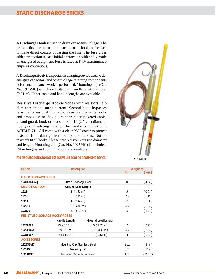# **STATIC DISCHARGE STICKS**

**A Discharge Hook** is used to drain capacitive voltage. The probe is first used to make contact, then the hook can be used to make direct contact bypassing the fuse. The fuse gives added protection in case initial contact is accidentally made on energized equipment. Fuse is rated at 8 kV maximum, 6 amperes continuous.

A **Discharge Hook** is a special discharging device used to deenergize capacitors and other voltage retaining components before maintenance work is performed. Mounting clip (Cat. No. 1925MC) is included. Standard handle length is 2 feet (0.61 m). Other cable and handle lengths are available.

**Resistive Discharge Hooks/Probes** with resistors help eliminate initial surge current. Second hook bypasses resistors for residual discharge. Resistive discharge hooks and probes use #6 flexible copper, clear-jacketed cable, a hand guard, hook or probe, and a 1" (2.5 cm) diameter fiberglass insulating handle. The handle complies with ASTM F-711. All come with a clear PVC cover to protect resistors from damage from bumps and knocks. Not all resistors fit all hooks. Please note resistor's outside diameter and length. Mounting clip (Cat. No. 1925MC) is included. Other lengths and configurations are available.

#### **FOR DISCHARGE ONLY. DO NOT USE AS LIVE LINE TOOL OR GROUNDING DEVICE.**



| Cat. No.                               | <b>Description</b>             |                    |                 | Weight ea. |
|----------------------------------------|--------------------------------|--------------------|-----------------|------------|
|                                        |                                |                    | lbs.            | (kgs).     |
| <b>FUSED DISCHARGE HOOK</b>            |                                |                    |                 |            |
| 1930535415Q                            | Fused Discharge Hook           |                    | 10              | (4.53)     |
| <b>DISCHARGE HOOK</b>                  | Ground Lead Length             |                    |                 |            |
| 1925                                   | $5'$ (1.52 m)                  |                    | $\overline{2}$  | (0.91)     |
| 19257                                  | $7'$ (2.13 m)                  |                    | 2.5             | (1.13)     |
| 19258                                  | $8'$ (2.44 m)                  |                    | 3               | (1.36)     |
| 192510                                 | $10'$ (3.05 m)                 |                    | 4.5             | (2.04)     |
| 192520                                 | 20' (6.10 m)                   |                    | 5               | (2.27)     |
| <b>RESISTIVE DISCHARGE HOOK/PROBES</b> |                                |                    |                 |            |
|                                        | Handle Length                  | Ground Lead Length |                 |            |
| 19250005                               | $23''(0.58 \text{ m})$         | $5'$ (1.52 m)      | 2               | (0.91)     |
| 192500655                              | $7'$ (2.13 m)                  | $10'$ (3.05 m)     | 4.5             | (2.04)     |
| 19250007                               | $5'$ (1.52 m)                  | $7'$ (2.13 m)      | 4               | (1.81)     |
| <b>ACCESSORIES</b>                     |                                |                    |                 |            |
| 1925SSMC                               | Mounting Clip, Stainless Steel |                    | 30Z             | (84g)      |
| 1925MC                                 | Mounting Clip                  |                    | 3 <sub>0Z</sub> | (84g)      |
| 1925DMC                                | Mounting Clip with Hardware    |                    | 4 oz            | (112 g)    |
|                                        |                                |                    |                 |            |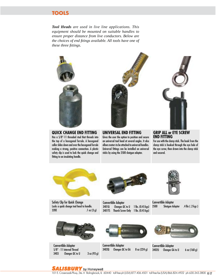*Tool Heads are used in live line applications. This equipment should be mounted on suitable handles to ensure proper distance from live conductors. Below are the choices of end fitings available. All tools have one of these three fittings.*







#### **QUICK CHANGE END FITTING**

Has a 5/8"-11 threaded stud that threads into the top of a hexagonal ferrule. A hexagonal collar slides down and over the hexagonal ferrule making a strong, positive connection. A plastic safety clip is used to lock the quick change end fitting to an insulating handle.

#### **UNIVERSAL END FITTING**

Gives the user the option to position and secure an universal tool head at several angles. It also allows meters to be attached to universal handles. Universal fittings can be installed on universal sticks by using the 2500 shotgun adapter.

#### **GRIP ALL or EYE SCREW END FITTING**

For use with the clamp stick. The hook from the clamp stick is hooked through the eye hole of the eye screw, then drawn into the clamp stick and secured.

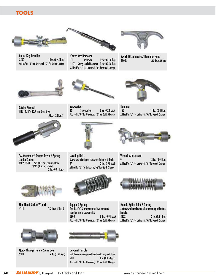

Cotter Key Installer 3500 1 lbs. (0.45 kgs) Add suffix "U" for Universal, "Q" for Quick Change





Cotter Key Remover 11 Remover 12 oz (0.38 kgs) 1101 Spring Loaded Remover 12 oz (0.38 kgs) Add suffix "U" for Universal, "Q" for Quick Change

Switch Disconnect w/ Hammer Head 1900U .19 lbs. (.08 kgs)



Ratchet Wrench 4115 1/2" ( 12.7 mm ) sq. drive



GA Adapter w/ Square Drive & Spring-

 $1/2$ " (1.3 cm) Square Drive 3/4" (1.9 cm) Socket

Loaded Socket<br>3402L5934 1/

.5 lbs ( .22 kgs )



Locating Drift 2 lbs (0.91 kgs)



Hammer 165 1 lbs. (0.45 kgs) Add suffix "U" for Universal, "Q" for Quick Change



Wrench Attachment 9 2 lbs. (0.91 kgs) Add suffix "U" for Universal, "Q" for Quick Change





Toggle & Spring The 1/2" (1.3 cm) square drive converts handles into a socket stick. 5900 2 lbs. (0.91 kgs) 4114 1.2 lbs ( .5 kgs )

Handle Splice Joint & Spring Splices two handles together creating a flexible handle. 3302 2 lbs (0.91 kgs) Add suffix "U" for Universal, "Q" for Quick Change



Flex Head Socket Wrench

Quick Change Handle Splice Joint 3301 2 lbs (0.91 kgs)



Add suffix "U" for Universal, "Q" for Quick Change

Bayonet Ferrule Installs/removes ground heads with bayonet studs. 98B 1 lbs. (0.45 kgs) Add suffix "U" for Universal, "Q" for Quick Change



**Screwdriver** 

Use where aligning or hardware fitting is difficult. 8A 2 lbs. (.91 kgs) Add suffix "U" for Universal, "Q" for Quick Change

13 Screwdriver 8 oz (0.23 kgs)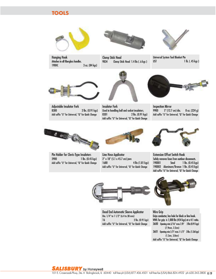

Hanging Hook Attaches to all fiberglass handles. 190HC 3 oz. (84 kgs)



Clamp Stick Head 9834 Clamp Stick Head 1.4 lbs ( .6 kgs )



Universal System Tool Blanket Pin  $UST$  1 lb. (.45 kgs)



8300 2 lbs. (0.91 kgs) Add suffix "U" for Universal, "Q" for Quick Change

Adjustable Insulator Fork



Used in handling ball and socket insulators. 8301 2 lbs. (0.91 kgs) Add suffix "U" for Universal, "Q" for Quick Change

Inspection Mirror 9900 5" (12.7 cm) dia. 8 oz. (224 g) Add suffix "U" for Universal, "Q" for Quick Change





Pin Holder for Clevis-Type Insulators 1 lbs. (0.45 kgs) Add suffix "U" for Universal, "Q" for Quick Change

Line Hose Applicator 2" x 18" (5.1 x 45.7 cm) jaws 1680 4 lbs (1.81 kgs) Add suffix "U" for Universal, "Q" for Quick Change



Extension Offset Switch Hook Safely removes fuses from outdoor disconnects. Steel 1 lbs. (0.45 kgs) 190002 Aluminum/Bronze 1 lbs. (0.45 kgs) Add suffix "U" for Universal, "Q" for Quick Change



Dead End Automatic Sleeve Applicator Dia. 1/4" to 1 1/2" (6.4 to 38 mm) 16 2 lbs. (0.91 kgs) Add suffix "U" for Universal, "Q" for Quick Change



Wire Grip Grips conductor, has hole for block or line hook. WWL for grip is 1,000 lbs (454 kgs) at a 4:1 ratio. 3600 Opening min.5/16" max.7/8" 2 lbs (0.91 kgs) (7.9mm, 2.2cm) 3601 Opening min.1/2" max.1-1/2" 3 lbs. (1.36 kgs) (1.3cm, 3.8cm) Add suffix "U" for Universal, "Q" for Quick Change

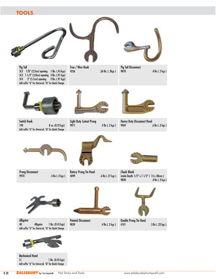

Mechanical Hand 1 lbs. (0.45 kgs) Add suffix "U" for Universal, "Q" for Quick Change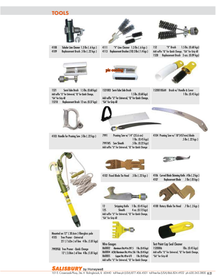



4108 Tubular Line Cleaner 1.3 lbs ( .6 kgs ) 4109 Replacement Brush .5 lbs ( .22 kgs )



4111 "V" Line Cleaner 1.3 lbs ( .6 kgs ) 4113 Replacement Brushes (10) 3 lbs ( 1.4 kgs )

1.5 lbs. (0.68 kgs)



152 "V" Brush 1.5 lbs. (0.68 kgs) Add suffix "Q" for Quick Change, "GA" for Grip All 152B Replacement Brush 3 ozs. (0.09 kgs)





Add suffix "U" for Universal, "Q" for Quick Change,

1521003 Semi-Tube Side Brush

"GA" for Grip All

1521 Semi-Tube Brush 1.5 lbs. (0.68 kgs) Add suffix "U" for Universal, "Q" for Quick Change, "GA" for Grip All 1521B Replacement Brush 12 ozs. (0.37 kgs)



4103 Handle for Pruning Saw .5 lbs ( .22 kgs ) 4104 Pruning Saw w/ 18"(457mm) blade Pruning Saw w/ 14" (35.6 cm) 1 lbs. (0.45 kgs) 7991WS Saw Sheath .5 lbs. (0.22 kgs) Add suffix "U" for Universal, "Q" for Quick Change



1520010GAH Brush w/ Handle & Cover 1 lbs. (0.45 kgs)





Mounted on 12" ( 30.6cm ) fiberglass pole 4105 Tree Pruner - Universal 25' ( 7.62m ) of line 4 lbs. (1.81 kgs)

7992FGQ Tree Pruner - Quick Change 12' ( 3.06m ) of line 4 lbs. (1.81 kgs)



4102 Fixed Blade Tie Head .5 lbs ( .22 kgs )



12 Stripping Knife 1 lbs. (0.45 kgs) 12S Sheath 4 oz. (0.12 kgs) Add suffix "U" for Universal, "Q" for Quick Change, "GA" for Grip All



Wire Gauges 860002 Aluminum Fits:#4 to 397.5 1 lbs. (0.45 kgs) 860004 ACSR/Aluminum Fits: #4 to .556 1 lbs. (0.45 kgs) 860005 Copper Fits: #8 to 4/0 1 lbs. (0.45 kgs) Add suffix "U" for Universal, "Q" for Quick Change



4106 Curved Blade Skinning Knife .4 lbs ( .2 kgs ) 4107 Replacement Blade .1 lbs ( .05 kgs )



4100 Rotary Blade Tie Head .7 lbs ( .3 kgs )



Test Point Cap Seal Cleaner 1520006 1lbs. (0.45 kgs) Add suffix "U" for Universal, "Q" for Quick Change, "GA" for Grip All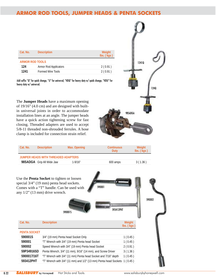# **ARMOR ROD TOOLS, JUMPER HEADS & PENTA SOCKETS**

| Cat. No.               | <b>Description</b>           | Weight<br>$\mathsf{Ibs}$ . $(\mathsf{kgs})$ |
|------------------------|------------------------------|---------------------------------------------|
| <b>ARMOR ROD TOOLS</b> |                              |                                             |
| 124                    | <b>Armor Rod Applicators</b> | 2(0.91)                                     |
| 1241                   | <b>Formed Wire Tools</b>     | 2(0.91)                                     |

Add suffix "Q" for quick change, "U" for universal, "HDQ" for heavy duty w/ quick change, "HDU" for heavy duty w/ universal.

The **Jumper Heads** have a maximum opening of 19/16" (4.0 cm) and are designed with builtin universal joints in order to accommodate installation lines at an angle. The jumper heads have a quick action tightening screw for fast closing. Threaded adapters are used to accept 5/8-11 threaded non-shrouded ferrules. A hose clamp is included for connection strain relief.



| Cat. No. | <b>Description</b>                  | Max. Opening | Continuous<br>Duty | Weight<br>$\mathsf{Ibs}$ . ( $\mathsf{Kgs}$ ) |
|----------|-------------------------------------|--------------|--------------------|-----------------------------------------------|
|          | JUMPER HEADS WITH THREADED ADAPTERS |              |                    |                                               |
|          | 98SADGA Grip All Wide Jaw           | $1-9/16"$    | 600 amps           | 3(1.36)                                       |

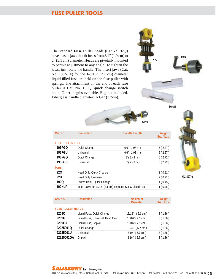# **FUSE PULLER TOOLS**

The standard **Fuse Puller** heads (Cat.No. 92Q) have plastic jaws that fit fuses from 3/4" (1.9 cm) to 2" (5.1 cm) diameter. Heads are pivotally mounted to permit adjustment to any angle. To tighten the jaws, just rotate the handle. The insert jaws (Cat. No. 190NLF) for the 1-3/16" (2.1 cm) diameter liquid filled fuse are held on the fuse puller with springs. The attachment on the end of each fuse puller is Cat. No. 190Q, quick change switch hook. Other lengths available. Bag not included. Fiberglass handle diameter: 1-1/4" (3.2cm).



190NLF



| Cat. No.                | <b>Description</b>        | <b>Handle Length</b>                                       | Weight<br>lbs. (kgs) |
|-------------------------|---------------------------|------------------------------------------------------------|----------------------|
| <b>FUSE PULLER TOOL</b> |                           |                                                            |                      |
| 196FGQ                  | Quick Change              | $6'6''$ (1.98 m)                                           | 5(2.27)              |
| 196FGU                  | Universal                 | $6'6''$ (1.98 m)                                           | 5(2.27)              |
| 198FGQ                  | Quick Change              | $8'$ (2.43 m)                                              | 6(2.72)              |
| 198FGU                  | Universal                 | $8'$ (2.43 m)                                              | 6(2.72)              |
| <b>Parts</b>            |                           |                                                            |                      |
| 920                     | Head Only, Quick Change   |                                                            | 2(0.91)              |
| 92U                     | Head Only, Universal      |                                                            | 2(0.91)              |
| 190Q                    | Switch Hook, Quick Change |                                                            | 1(0.45)              |
| <b>190NLF</b>           |                           | Insert Jaws for 13/16" (2.1 cm) diameter S & C Liquid Fuse | 1(0.45)              |

92225001Q

| Cat. No.                 | <b>Description</b>                | <b>Maximum</b><br><b>Diameter</b> | Weight<br>$\mathsf{Ibs}$ . $(\mathsf{kgs})$ |
|--------------------------|-----------------------------------|-----------------------------------|---------------------------------------------|
| <b>FUSE PULLER HEADS</b> |                                   |                                   |                                             |
| 9209Q                    | Liquid Fuse, Quick Change         | 13/16" (2.1 cm)                   | 3(1.36)                                     |
| 9209U                    | Liquid Fuse, Universal, Head Only | 13/16" (2.1 cm)                   | 3(1.36)                                     |
| 9209GA                   | Liquid Fuse, Grip All             | 13/16" (2.1 cm)                   | 3(1.36)                                     |
| 92225001Q                | Quick Change                      | 2 1/4" (5.7 cm)                   | 3(1.36)                                     |
| 92225001U                | Universal                         | 2 1/4" (5.7 cm)                   | 3(1.36)                                     |
| 92225001GA               | Grip All                          | 2 1/4" (5.7 cm)                   | 3(1.36)                                     |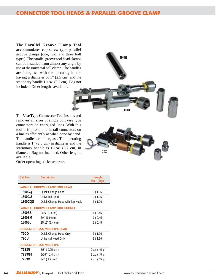# **CONNECTOR TOOL HEADS & PARALLEL GROOVE CLAMP**

The **Parallel Groove Clamp Tool**  accommodates cap-screw type parallel groove clamps (one, two, and three bolt types). The parallel groove tool head clamps can be installed from almost any angle by use of the universal ball clamp. The handles are fiberglass, with the operating handle having a diameter of 1" (2.5 cm) and the stationary handle 1-1/4" (3.2 cm). Bag not included. Other lengths available.



The **Vise Type Connector Tool** installs and removes all sizes of single bolt vise type connectors on energized lines. With this tool it is possible to install connectors on a line as efficiently as when done by hand. The handles are fiberglass. The operating handle is 1" (2.5 cm) in diameter and the stationary handle is 1-1/4" (3.2 cm) in diameter. Bag not included. Other lengths available.



| Cat. No.   | <b>Description</b>                   | Weight<br>lbs. (kgs) |
|------------|--------------------------------------|----------------------|
|            | PARALLEL GROOVE CLAMP TOOL HEAD      |                      |
| 1800CQ     | Quick Change Head                    | 3(1.96)              |
| 1800CU     | Universal Head                       | 3(1.96)              |
| 1800CQS    | Quick Change Head with Top Hook      | 3(1.96)              |
|            | PARALLEL GROOVE CLAMP TOOL SOCKET    |                      |
| 1800SS     | $9/16$ " (1.4 cm)                    | 1(0.45)              |
| 1800SM     | 3/4" (1.9 cm)                        | 1(0.45)              |
| 1800SL     | 15/16" (2.4 cm)                      | 1(0.45)              |
|            | <b>CONNECTOR TOOL VISE TYPE HEAD</b> |                      |
| 72CQ       | Quick Change Head Only               | 3(1.96)              |
| 72CU       | Universal Head Only                  | 3(1.96)              |
|            | <b>CONNECTOR TOOL VISE TYPE</b>      |                      |
| 72S3/8     | 3/8" (0.95 cm)                       | $2$ oz. $(45 g)$     |
| 72S9/16    | $9/16$ " (1.4 cm)                    | $2$ oz. $(45 g)$     |
| 72S3/4     | 3/4" (1.9 cm)                        | $2$ oz. $(45 g)$     |
|            |                                      |                      |
| ---------- |                                      |                      |

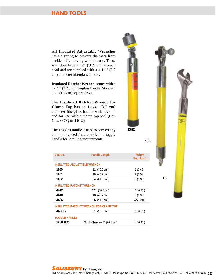#### **HAND TOOLS**

All **Insulated Adjustable Wrenche**s have a spring to prevent the jaws from accidentally moving while in use. These wrenches have a 12" (30.5 cm) wrench head and are supplied with a 1-1/4" (3.2 cm) diameter fiberglass handle.

**Insulated Ratchet Wrench** comes with a 1-1/2" (3.2 cm) fiberglass handle. Standard  $1/2$ " (1.3 cm) square drive.

The **Insulated Ratchet Wrench for Clamp Top** has an 1-1/4" (3.2 cm) diameter fiberglass handle with eye on end for use with a clamp top tool (Cat. Nos. 44CQ or 44CU).

The **Toggle Handle** is used to convert any double threaded ferrule stick to a toggle handle for torquing requirements.

| Cat. No.                           | <b>Handle Length</b>                   | Weight<br>$\mathsf{lbs.}$ ( $\mathsf{kgs}$ ) |
|------------------------------------|----------------------------------------|----------------------------------------------|
| <b>INSULATED ADJUSTABLE WRENCH</b> |                                        |                                              |
| 1160                               | 12" (30.5 cm)                          | 1(0.45)                                      |
| 1161                               | 18" (45.7 cm)                          | 2(0.91)                                      |
| 1162                               | 24" (61.0 cm)                          | 3(1.36)                                      |
| <b>INSULATED RATCHET WRENCH</b>    |                                        |                                              |
| 4412                               | 12" (30.5 cm)                          | 2(0.91)                                      |
| 4418                               | 18" (45.7 cm)                          | 3(1.36)                                      |
| 4436                               | $36''$ (91.5 cm)                       | 4.5(2.0)                                     |
|                                    | INSULATED RATCHET WRENCH FOR CLAMP TOP |                                              |
| 44CFG                              | $8''$ (20.3 cm)                        | 2(0.91)                                      |
| <b>TOGGLE HANDLE</b>               |                                        |                                              |
| 1258HEQ                            | Quick Change - 8" (20.3 cm)            | 1(0.45)                                      |



44CFG

1161

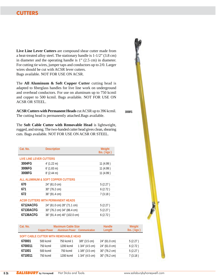#### **CUTTERS**

**Live Line Lever Cutters** are compound shear cutter made from a heat-treated alloy steel. The stationary handle is 1-1/2" (3.8 cm) in diameter and the operating handle is 1" (2.5 cm) in diameter. For cutting tie wires, jumper taps and conductors up to 2/0. Larger wires should be cut with ACSR lever cutters. Bags available. NOT FOR USE ON ACSR.

The **All Aluminum & Soft Copper Cutter** cutting head is adapted to fiberglass handles for live line work on underground and overhead conductors. For use on aluminum up to 750 kcmil and copper to 500 kcmil. Bags available. NOT FOR USE ON ACSR OR STEEL.

**ACSR Cutters with Permanent Heads** cut ACSR up to 396 kcmil. The cutting head is permanently attached.Bags available.

The **Soft Cable Cutter with Removable Head** is lightweight, rugged, and strong. The two-handed cutter head gives clean, shearing cuts. Bags available. NOT FOR USE ON ACSR OR STEEL.

| Cat. No.                                 | <b>Description</b>           | Weight<br>$\mathsf{Ibs}$ . ( $\bar{\mathsf{k}}$ gs) |  |  |
|------------------------------------------|------------------------------|-----------------------------------------------------|--|--|
| <b>LIVE LINE LEVER CUTTERS</b>           |                              |                                                     |  |  |
| 3004FG                                   | $4'$ (1.22 m)                | 11 (4.99)                                           |  |  |
| 3006FG                                   | $6'$ (1.83 m)                | 11 (4.99)                                           |  |  |
| 3008FG                                   | $8'$ (2.44 m)                | 11 (4.99)                                           |  |  |
| ALL ALUMINUM & SOFT COPPER CUTTERS       |                              |                                                     |  |  |
| 670                                      | 24" (61.0 cm)                | 5(2.27)                                             |  |  |
| 671                                      | 30" (76.2 cm)                | 6(2.72)                                             |  |  |
| 672                                      | 36" (91.4 cm)                | 7(3.18)                                             |  |  |
| <b>ACSR CUTTERS WITH PERMANENT HEADS</b> |                              |                                                     |  |  |
| 67124ACFG                                | 24" (61.0 cm) 28" (71.1 cm)  | 5(2.27)                                             |  |  |
| 67130ACFG                                | 30" (76.2 cm) 34" (86.4 cm)  | 5(2.27)                                             |  |  |
| 67136ACFG                                | 36" (91.4 cm) 40" (102.0 cm) | 6(2.72)                                             |  |  |

| Cat. No.                              | <b>Copper Power</b> | <b>Maximum Cable Size</b><br><b>Aluminum Power</b> Communication |                    | Handle<br>Length | Weight<br>$\mathsf{lbs.}$ ( $\mathsf{kgs}$ ) |
|---------------------------------------|---------------------|------------------------------------------------------------------|--------------------|------------------|----------------------------------------------|
| SOFT CABLE CUTTER WITH REMOVABLE HEAD |                     |                                                                  |                    |                  |                                              |
| 670001                                | 500 kcmil           | 750 kcmil 1                                                      | $3/8$ " (3.5 cm)   | 24" (61.0 cm)    | 5(2.27)                                      |
| 6700011                               | 750 kcmil           | 1200 kcmil                                                       | $13/4$ " (4.5 cm)  | 24" (61.0 cm)    | 6(2.72)                                      |
| 671001                                | 500 kcmil           | 750 kcmil                                                        | $1.3/8$ " (3.5 cm) | 30" (76.2 cm)    | 5(2.27)                                      |
| 6710011                               | 750 kcmil           | 1200 kcmil                                                       | $13/4$ " (4.5 cm)  | 30" (76.2 cm)    | 7(3.18)                                      |



3008FG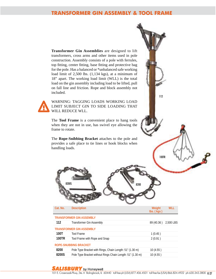#### **TRANSFORMER GIN ASSEMBLY & TOOL FRAME**

**Transformer Gin Assemblies** are designed to lift transformers, cross arms and other items used in pole construction. Assembly consists of a pole with ferrules, top fitting, center fitting, base fitting and protective bag for the pole. Has a balanced or \*unbalanced safe working load limit of 2,500 lbs. (1,134 kgs), at a minimum of 18" apart. The working load limit (WLL) is the total load on the gin assembly including load to be lifted, pull on fall line and friction. Rope and block assembly not included.

WARNING: TAGGING LOADS WORKING LOAD LIMIT SUBJECT GIN TO SIDE LOADING THAT WILL REDUCE WLL.

The **Tool Frame** is a convenient place to hang tools when they are not in use, has swivel eye allowing the frame to rotate.

The **Rope-Snibbing Bracket** attaches to the pole and provides a safe place to tie lines or hook blocks when handling loads.

|          | <b>8200S</b><br>8200                                       |                                                     |            |
|----------|------------------------------------------------------------|-----------------------------------------------------|------------|
| Cat. No. | <b>Description</b>                                         | Weight<br>$\mathsf{Ibs}$ . ( $\bar{\mathsf{kgs}}$ ) | <b>WLL</b> |
|          | <b>TRANSFORMER GIN ASSEMBLY</b>                            |                                                     |            |
| 112      | Transformer Gin Assembly                                   | 89 (40.36)                                          | 2,500 LBS  |
|          | <b>TRANSFORMER GIN ASSEMBLY</b>                            |                                                     |            |
| 100T     | <b>Tool Frame</b>                                          | 1(0.45)                                             |            |
| 100TR    | Tool Frame with Rope and Snap                              | 2(0.91)                                             |            |
|          | <b>ROPE-SNUBBING BRACKET</b>                               |                                                     |            |
| 8200     | Pole Type Bracket with Rings, Chain Length: 51" (1.30 m)   | 10 (4.55)                                           |            |
| 8200S    | Pole Type Bracket without Rings Chain Length: 51" (1.30 m) | 10(4.55)                                            |            |

#### **SALISBURY** by Honeywell

112

100TR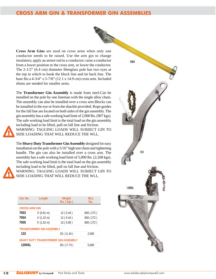# **CROSS ARM GIN & TRANSFORMER GIN ASSEMBLIES**



**Cross Arm Gins** are used on cross arms when only one conductor needs to be raised. Use the arm gin to change insulators; apply an armor rod to a conductor; raise a conductor from a lower position to the cross arm, or lower the conductor. The 2-1/2" (6.4 cm) diameter fiberglass pole has two eyes at the top in which to hook the block line and tie back line. The base fits a 4-3/4" x 5-7/8" (12.1 x 14.9 cm) cross arm. Included shims are needed for smaller arms.

The **Transformer Gin Assembly** is made from steel.Can be installed on the pole by one lineman with the single alloy chain. The assembly can also be installed over a cross arm.Blocks can be installed in the eye or from the shackle provided. Rope guides for the fall line are located on both sides of the gin assembly. The gin assembly has a safe working load limit of 2,000 lbs. (907 kgs). The safe working load limit is the total load on the gin assembly including load to be lifted, pull on fall line and friction. WARNING: TAGGING LOADS WILL SUBJECT GIN TO SIDE LOADING THAT WILL REDUCE THE WLL.

The **Heavy Duty Transformer Gin Assembly** designed for easy installation on the pole with a 5/16" high test chain and tightening handle. The gin can also be installed over a cross arm. The assembly has a safe working load limit of 5,000 lbs. (2,268 kgs). The safe working load limit is the total load on the gin assembly including load to be lifted, pull on fall line and friction.

WARNING: TAGGING LOADS WILL SUBJECT GIN TO SIDE LOADING THAT WILL REDUCE THE WLL.

| Cat. No.                            | Length        | Weight<br>$\mathsf{Ibs}$ . $(\mathsf{kgs})$ | <b>WLL</b><br>lbs. |  |
|-------------------------------------|---------------|---------------------------------------------|--------------------|--|
| <b>CROSS ARM GIN</b>                |               |                                             |                    |  |
| 7003                                | $3'$ (0.91 m) | 12(5.44)                                    | 600 (272)          |  |
| 7004                                | $4'$ (1.22 m) | 12(5.44)                                    | 600 (272)          |  |
| 7005                                | $5'$ (1.52 m) | 13(5.90)                                    | 600 (272)          |  |
| <b>TRANSFORMER GIN ASSEMBLY</b>     |               |                                             |                    |  |
| 133                                 |               | 25 (11.34)                                  | 2,000              |  |
| HEAVY DUTY TRANSFORMER GIN ASSEMBLY |               |                                             |                    |  |
| 1200SL                              |               | 39 (17.73)                                  | 5,000              |  |

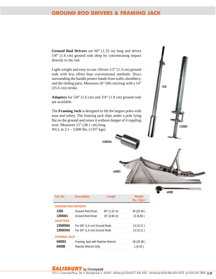#### **GROUND ROD DRIVERS & FRAMING JACK**

**Ground Rod Drivers** are 60" (1.52 m) long and drives 5/8" (1.6 cm) ground rods deep by concentrating impact directly to the rod.

Light-weight and easy-to-use. Drives 1/2" (1.3 cm) ground rods with less effort than conventional methods. Discs surrounding the handle protect hands from walls, shrubbery, and the sliding parts. Measures 26" (66 cm) long with a 14" (35.6 cm) stroke.

**Adapters** for 5/8" (1.6 cm) and 3/4" (1.9 cm) ground rods are available.

The **Framing Jack** is designed to lift the largest poles with ease and safety. The framing jack slips under a pole lying flat on the ground and raises it without danger of it toppling over. Measures 15" (38.1 cm) long. WLL at 2:1 - 3,000 lbs. (1357 kgs)

1350034/

640001



6400B

| Cat. No.            | <b>Description</b>               | Length          | Weight<br>$\mathsf{Ibs}$ . ( $\bar{\mathsf{kgs}}$ ) |  |  |
|---------------------|----------------------------------|-----------------|-----------------------------------------------------|--|--|
|                     | <b>GROUND ROD DRIVERS</b>        |                 |                                                     |  |  |
| 1350                | <b>Ground Rod Driver</b>         | $60''$ (1.52 m) | 45 (20.40)                                          |  |  |
| 1350001             | Ground Rod Driver                | $26''$ (0.66 m) | 15(6.80)                                            |  |  |
| <b>ADAPTERS</b>     |                                  |                 |                                                     |  |  |
| 1350058A            | For 5/8" (1.6 cm) Ground Rods    | $1/2$ (0.21)    |                                                     |  |  |
| 1350034A            | For 3/4" (1.9 cm) Ground Rods    |                 | 1/2(0.21)                                           |  |  |
| <b>FRAMING JACK</b> |                                  |                 |                                                     |  |  |
| 640001              | Framing Jack with Ratchet Wrench | 58 (26.38)      |                                                     |  |  |
| 6400B               | Ratchet Wrench Only              | 1(0.45)         |                                                     |  |  |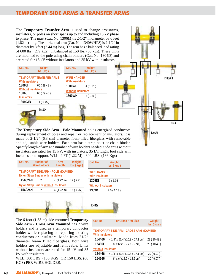# **TEMPORARY SIDE ARMS & TRANSFER ARMS**

The **Temporary Transfer Arm** is used to change crossarms, insulators, or poles on short spans up to and including 15 kV phase to phase. The mast (Cat. No. 1306M) is 2-1/2" in diameter by 6 feet (1.82 m) long. The horizontal arm (Cat. No. 1340WHF8) is 2-1/2" in diameter by 8 feet (2.44 m) long. The arm has a balanced load rating of 600 lbs. (272 kgs); unbalanced at 150 lbs. (68 kgs). These units are mounted to the pole using chain binders (Cat. No. 1304D) and are rated for 15 kV without insulators and 35 kV with insulators.

| Cat. No.                                                | Weight<br>$\mathsf{Ibs}$ . ( $\bar{\mathsf{kgs}}$ ) | Cat. No.<br>Weight<br>$\mathsf{Ibs}$ . ( $\bar{\mathsf{kgs}}$ ) |
|---------------------------------------------------------|-----------------------------------------------------|-----------------------------------------------------------------|
| <b>With Insulators</b>                                  | <b>TEMPORARY TRANSFER ARMS</b>                      | <b>WIRF HANGER</b><br><b>With Insulators</b>                    |
| 130681                                                  | 65(29.48)                                           | 1300WHI<br>4(1.81)                                              |
| <b>Without Insulators</b><br>13068<br><b>Insulators</b> | 65 (29.48)                                          | <b>Without Insulators</b><br>1300WH<br>3(1.36)                  |
| 1309GIB                                                 | 1(0.45)                                             |                                                                 |
|                                                         | 156024                                              |                                                                 |
|                                                         |                                                     |                                                                 |



The **Temporary Side Arm - Pole Mounted** holds energized conductors during replacement of poles and repair or replacement of insulators. It is made of 2-1/2" (6.3 cm) diameter foam-filled fiberglass with removable and adjustable wire holders. Each arm has a strap hoist or chain binder. Specify length of arm and number of wire holders needed. Side arms without insulators are rated for 15 kV; with insulators, 35 kV. Eight foot side arm includes arm support. WLL: 4 FT (1.22 M) - 300 LBS. (136 Kgs)



The 6 foot (1.83 m) side-mounted **Temporary Side Arm - Cross Arm Mounted** has 2 wire holders and is used as a temporary conductor holder while replacing or repairing existing conductors or insulators. Made from 21/2" diameter foam- filled fiberglass. Both wire holders are adjustable and removable. Units without insulators are rated for 15 kV and 35 kV with insulators.

WLL: 300 LBS. (136 KGS) OR 150 LBS. (68 KGS) PER WIRE HOLDER.

| Cat. No.                                                         | <b>For Cross Arm Size</b>       | Weight<br>$\mathsf{Ibs}$ . $(\mathsf{kgs})$ |  |  |  |
|------------------------------------------------------------------|---------------------------------|---------------------------------------------|--|--|--|
| TEMPORARY SIDE ARM - CROSS ARM MOUNTED<br><b>With Insulators</b> |                                 |                                             |  |  |  |
| 1544661                                                          | 4 1/4" x 63/4" (10.3 x 17.1 cm) | 23 (10.43)                                  |  |  |  |
| <b>154661</b>                                                    | 6" x 6" (15.2 x 15.2 cm)        | 23 (10.43)                                  |  |  |  |
| <b>Without Insulators</b>                                        |                                 |                                             |  |  |  |
| 154466                                                           | 4 1/4" x 63/4" (10.3 x 17.1 cm) | 20 (9.07)                                   |  |  |  |
| 154666                                                           | 6" x 6" (15.2 x 15.2 cm)        | 20 (9.07)                                   |  |  |  |
|                                                                  |                                 |                                             |  |  |  |